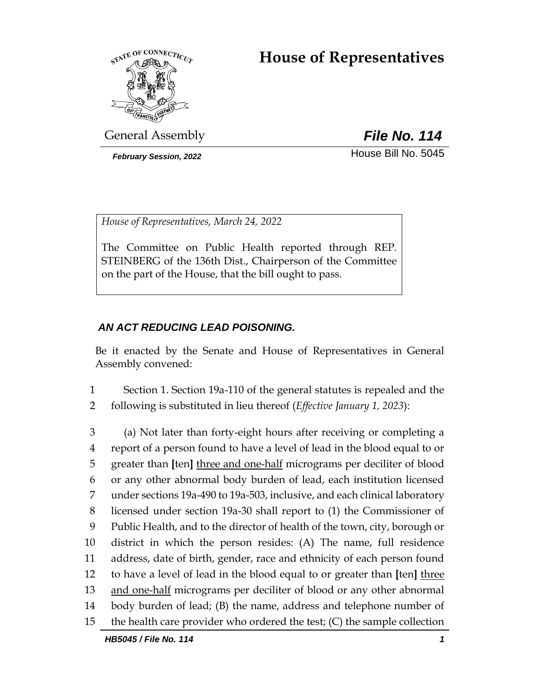# **House of Representatives**



General Assembly *File No. 114*

**February Session, 2022 House Bill No. 5045** 

*House of Representatives, March 24, 2022*

The Committee on Public Health reported through REP. STEINBERG of the 136th Dist., Chairperson of the Committee on the part of the House, that the bill ought to pass.

# *AN ACT REDUCING LEAD POISONING.*

Be it enacted by the Senate and House of Representatives in General Assembly convened:

1 Section 1. Section 19a-110 of the general statutes is repealed and the 2 following is substituted in lieu thereof (*Effective January 1, 2023*):

 (a) Not later than forty-eight hours after receiving or completing a report of a person found to have a level of lead in the blood equal to or greater than **[**ten**]** three and one-half micrograms per deciliter of blood or any other abnormal body burden of lead, each institution licensed under sections 19a-490 to 19a-503, inclusive, and each clinical laboratory licensed under section 19a-30 shall report to (1) the Commissioner of Public Health, and to the director of health of the town, city, borough or district in which the person resides: (A) The name, full residence address, date of birth, gender, race and ethnicity of each person found to have a level of lead in the blood equal to or greater than **[**ten**]** three 13 and one-half micrograms per deciliter of blood or any other abnormal body burden of lead; (B) the name, address and telephone number of the health care provider who ordered the test; (C) the sample collection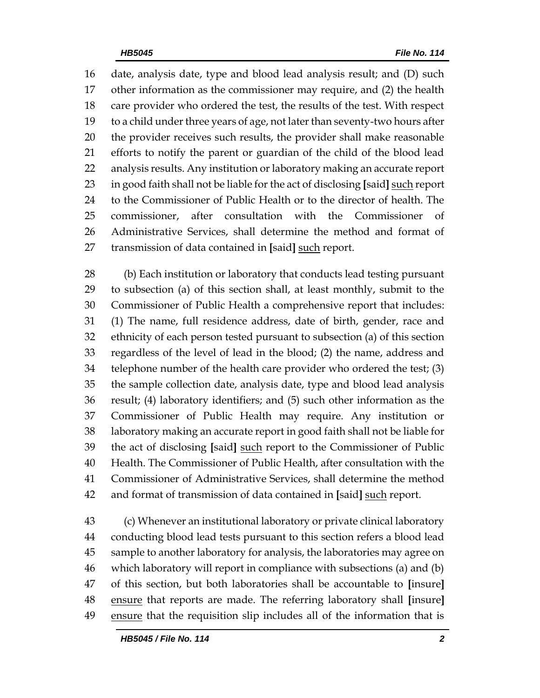date, analysis date, type and blood lead analysis result; and (D) such other information as the commissioner may require, and (2) the health care provider who ordered the test, the results of the test. With respect to a child under three years of age, not later than seventy-two hours after the provider receives such results, the provider shall make reasonable efforts to notify the parent or guardian of the child of the blood lead analysis results. Any institution or laboratory making an accurate report in good faith shall not be liable for the act of disclosing **[**said**]** such report to the Commissioner of Public Health or to the director of health. The 25 commissioner, after consultation with the Commissioner Administrative Services, shall determine the method and format of transmission of data contained in **[**said**]** such report.

 (b) Each institution or laboratory that conducts lead testing pursuant to subsection (a) of this section shall, at least monthly, submit to the Commissioner of Public Health a comprehensive report that includes: (1) The name, full residence address, date of birth, gender, race and ethnicity of each person tested pursuant to subsection (a) of this section regardless of the level of lead in the blood; (2) the name, address and telephone number of the health care provider who ordered the test; (3) the sample collection date, analysis date, type and blood lead analysis result; (4) laboratory identifiers; and (5) such other information as the Commissioner of Public Health may require. Any institution or laboratory making an accurate report in good faith shall not be liable for the act of disclosing **[**said**]** such report to the Commissioner of Public Health. The Commissioner of Public Health, after consultation with the Commissioner of Administrative Services, shall determine the method and format of transmission of data contained in **[**said**]** such report.

 (c) Whenever an institutional laboratory or private clinical laboratory conducting blood lead tests pursuant to this section refers a blood lead sample to another laboratory for analysis, the laboratories may agree on which laboratory will report in compliance with subsections (a) and (b) of this section, but both laboratories shall be accountable to **[**insure**]** ensure that reports are made. The referring laboratory shall **[**insure**]** ensure that the requisition slip includes all of the information that is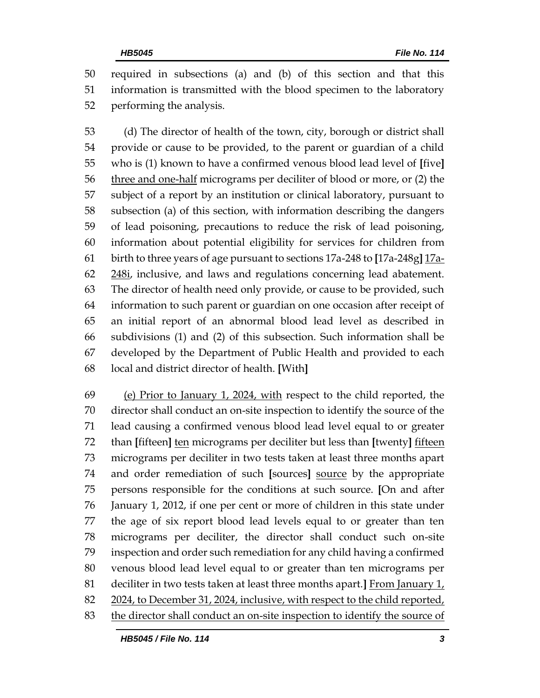required in subsections (a) and (b) of this section and that this information is transmitted with the blood specimen to the laboratory performing the analysis.

 (d) The director of health of the town, city, borough or district shall provide or cause to be provided, to the parent or guardian of a child who is (1) known to have a confirmed venous blood lead level of **[**five**]** three and one-half micrograms per deciliter of blood or more, or (2) the subject of a report by an institution or clinical laboratory, pursuant to subsection (a) of this section, with information describing the dangers of lead poisoning, precautions to reduce the risk of lead poisoning, information about potential eligibility for services for children from birth to three years of age pursuant to sections 17a-248 to **[**17a-248g**]** 17a-62 248i, inclusive, and laws and regulations concerning lead abatement. The director of health need only provide, or cause to be provided, such information to such parent or guardian on one occasion after receipt of an initial report of an abnormal blood lead level as described in subdivisions (1) and (2) of this subsection. Such information shall be developed by the Department of Public Health and provided to each local and district director of health. **[**With**]**

69 (e) Prior to January 1, 2024, with respect to the child reported, the director shall conduct an on-site inspection to identify the source of the lead causing a confirmed venous blood lead level equal to or greater than **[**fifteen**]** ten micrograms per deciliter but less than **[**twenty**]** fifteen micrograms per deciliter in two tests taken at least three months apart and order remediation of such **[**sources**]** source by the appropriate persons responsible for the conditions at such source. **[**On and after January 1, 2012, if one per cent or more of children in this state under the age of six report blood lead levels equal to or greater than ten micrograms per deciliter, the director shall conduct such on-site inspection and order such remediation for any child having a confirmed venous blood lead level equal to or greater than ten micrograms per deciliter in two tests taken at least three months apart.**]** From January 1, 82 2024, to December 31, 2024, inclusive, with respect to the child reported, the director shall conduct an on-site inspection to identify the source of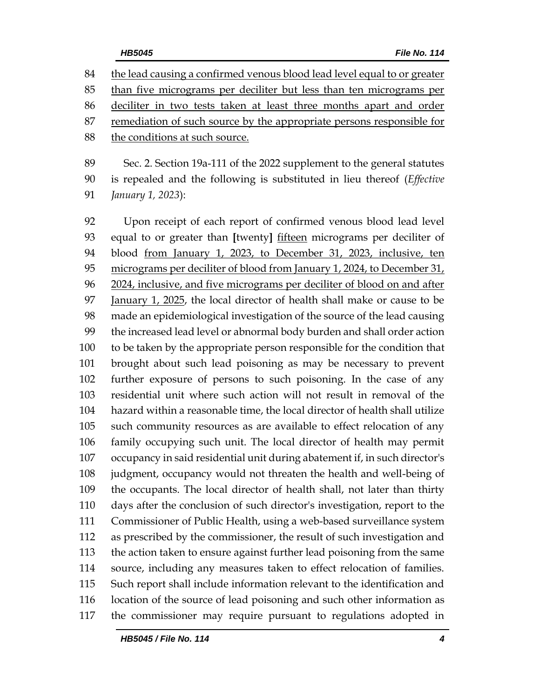84 the lead causing a confirmed venous blood <u>lead level equal to or greater</u> than five micrograms per deciliter but less than ten micrograms per deciliter in two tests taken at least three months apart and order remediation of such source by the appropriate persons responsible for the conditions at such source.

 Sec. 2. Section 19a-111 of the 2022 supplement to the general statutes is repealed and the following is substituted in lieu thereof (*Effective January 1, 2023*):

 Upon receipt of each report of confirmed venous blood lead level equal to or greater than **[**twenty**]** fifteen micrograms per deciliter of blood from January 1, 2023, to December 31, 2023, inclusive, ten micrograms per deciliter of blood from January 1, 2024, to December 31, 2024, inclusive, and five micrograms per deciliter of blood on and after 97 January 1, 2025, the local director of health shall make or cause to be made an epidemiological investigation of the source of the lead causing the increased lead level or abnormal body burden and shall order action to be taken by the appropriate person responsible for the condition that brought about such lead poisoning as may be necessary to prevent further exposure of persons to such poisoning. In the case of any residential unit where such action will not result in removal of the hazard within a reasonable time, the local director of health shall utilize such community resources as are available to effect relocation of any family occupying such unit. The local director of health may permit occupancy in said residential unit during abatement if, in such director's judgment, occupancy would not threaten the health and well-being of the occupants. The local director of health shall, not later than thirty days after the conclusion of such director's investigation, report to the Commissioner of Public Health, using a web-based surveillance system as prescribed by the commissioner, the result of such investigation and the action taken to ensure against further lead poisoning from the same source, including any measures taken to effect relocation of families. Such report shall include information relevant to the identification and location of the source of lead poisoning and such other information as the commissioner may require pursuant to regulations adopted in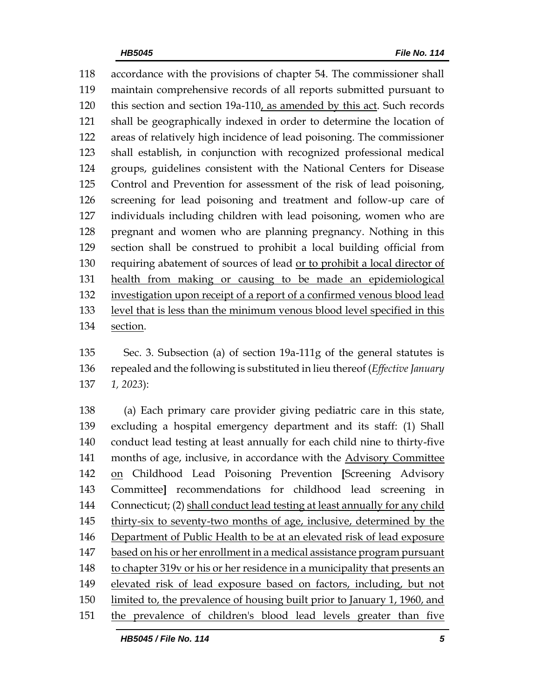accordance with the provisions of chapter 54. The commissioner shall maintain comprehensive records of all reports submitted pursuant to this section and section 19a-110, as amended by this act. Such records shall be geographically indexed in order to determine the location of areas of relatively high incidence of lead poisoning. The commissioner shall establish, in conjunction with recognized professional medical groups, guidelines consistent with the National Centers for Disease Control and Prevention for assessment of the risk of lead poisoning, screening for lead poisoning and treatment and follow-up care of individuals including children with lead poisoning, women who are pregnant and women who are planning pregnancy. Nothing in this section shall be construed to prohibit a local building official from requiring abatement of sources of lead or to prohibit a local director of health from making or causing to be made an epidemiological investigation upon receipt of a report of a confirmed venous blood lead level that is less than the minimum venous blood level specified in this section.

 Sec. 3. Subsection (a) of section 19a-111g of the general statutes is repealed and the following is substituted in lieu thereof (*Effective January 1, 2023*):

 (a) Each primary care provider giving pediatric care in this state, excluding a hospital emergency department and its staff: (1) Shall conduct lead testing at least annually for each child nine to thirty-five months of age, inclusive, in accordance with the Advisory Committee on Childhood Lead Poisoning Prevention **[**Screening Advisory Committee**]** recommendations for childhood lead screening in Connecticut; (2) shall conduct lead testing at least annually for any child 145 thirty-six to seventy-two months of age, inclusive, determined by the Department of Public Health to be at an elevated risk of lead exposure based on his or her enrollment in a medical assistance program pursuant to chapter 319v or his or her residence in a municipality that presents an elevated risk of lead exposure based on factors, including, but not limited to, the prevalence of housing built prior to January 1, 1960, and the prevalence of children's blood lead levels greater than five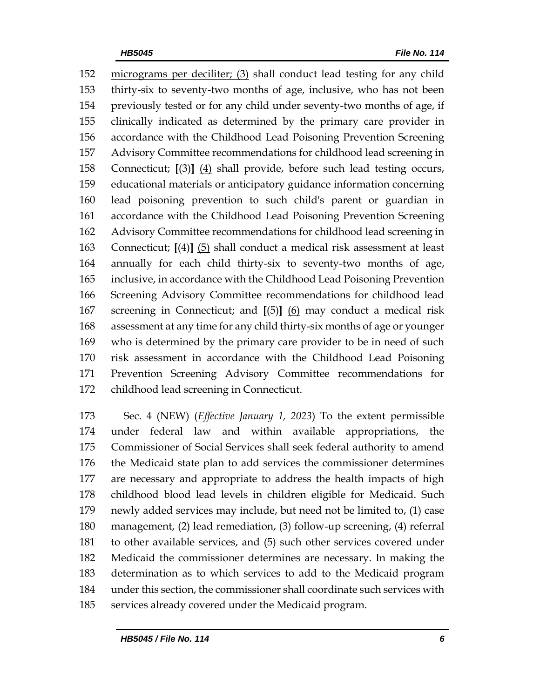micrograms per deciliter; (3) shall conduct lead testing for any child thirty-six to seventy-two months of age, inclusive, who has not been previously tested or for any child under seventy-two months of age, if clinically indicated as determined by the primary care provider in accordance with the Childhood Lead Poisoning Prevention Screening Advisory Committee recommendations for childhood lead screening in Connecticut; **[**(3)**]** (4) shall provide, before such lead testing occurs, educational materials or anticipatory guidance information concerning lead poisoning prevention to such child's parent or guardian in accordance with the Childhood Lead Poisoning Prevention Screening Advisory Committee recommendations for childhood lead screening in Connecticut; **[**(4)**]** (5) shall conduct a medical risk assessment at least annually for each child thirty-six to seventy-two months of age, inclusive, in accordance with the Childhood Lead Poisoning Prevention Screening Advisory Committee recommendations for childhood lead screening in Connecticut; and **[**(5)**]** (6) may conduct a medical risk assessment at any time for any child thirty-six months of age or younger who is determined by the primary care provider to be in need of such risk assessment in accordance with the Childhood Lead Poisoning Prevention Screening Advisory Committee recommendations for childhood lead screening in Connecticut.

 Sec. 4 (NEW) (*Effective January 1, 2023*) To the extent permissible under federal law and within available appropriations, the Commissioner of Social Services shall seek federal authority to amend the Medicaid state plan to add services the commissioner determines are necessary and appropriate to address the health impacts of high childhood blood lead levels in children eligible for Medicaid. Such newly added services may include, but need not be limited to, (1) case management, (2) lead remediation, (3) follow-up screening, (4) referral to other available services, and (5) such other services covered under Medicaid the commissioner determines are necessary. In making the determination as to which services to add to the Medicaid program under this section, the commissioner shall coordinate such services with services already covered under the Medicaid program.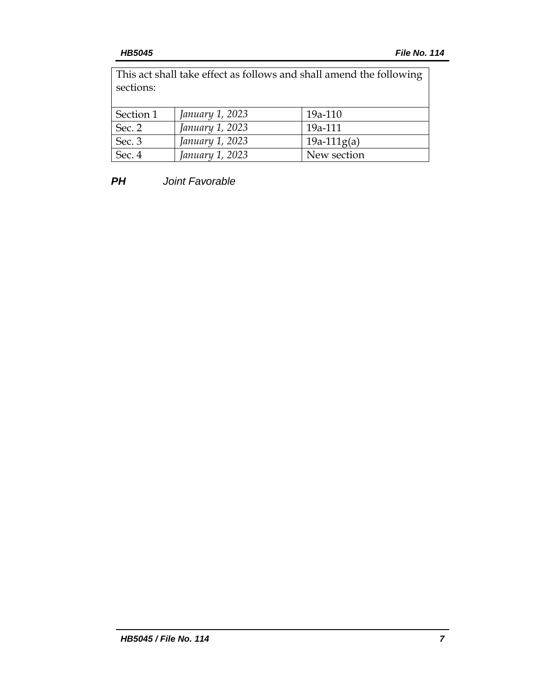This act shall take effect as follows and shall amend the following sections:

| Section 1 | January 1, 2023 | $19a-110$     |
|-----------|-----------------|---------------|
| Sec. 2    | January 1, 2023 | 19a-111       |
| Sec. 3    | January 1, 2023 | $19a-111g(a)$ |
| Sec. 4    | January 1, 2023 | New section   |

*PH Joint Favorable*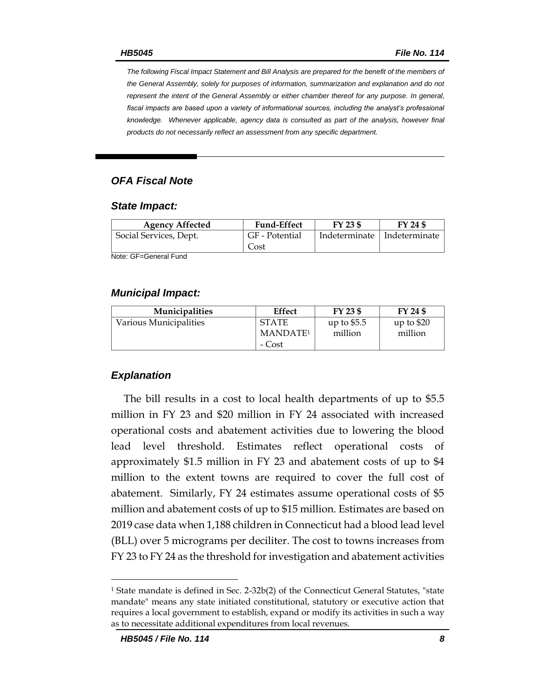*The following Fiscal Impact Statement and Bill Analysis are prepared for the benefit of the members of the General Assembly, solely for purposes of information, summarization and explanation and do not represent the intent of the General Assembly or either chamber thereof for any purpose. In general,*  fiscal impacts are based upon a variety of informational sources, including the analyst's professional *knowledge. Whenever applicable, agency data is consulted as part of the analysis, however final products do not necessarily reflect an assessment from any specific department.*

### *OFA Fiscal Note*

### *State Impact:*

| <b>Agency Affected</b> | <b>Fund-Effect</b> | $FY$ 23 \$ | FY 24 \$                      |
|------------------------|--------------------|------------|-------------------------------|
| Social Services, Dept. | GF - Potential     |            | Indeterminate   Indeterminate |
|                        | Cost               |            |                               |

Note: GF=General Fund

### *Municipal Impact:*

| <b>Municipalities</b>  | Effect                                         | FY 23 \$                | FY 24 \$               |
|------------------------|------------------------------------------------|-------------------------|------------------------|
| Various Municipalities | <b>STATE</b><br>MANDATE <sup>1</sup><br>- Cost | up to $$5.5$<br>million | up to $$20$<br>million |

### *Explanation*

The bill results in a cost to local health departments of up to \$5.5 million in FY 23 and \$20 million in FY 24 associated with increased operational costs and abatement activities due to lowering the blood lead level threshold. Estimates reflect operational costs of approximately \$1.5 million in FY 23 and abatement costs of up to \$4 million to the extent towns are required to cover the full cost of abatement. Similarly, FY 24 estimates assume operational costs of \$5 million and abatement costs of up to \$15 million. Estimates are based on 2019 case data when 1,188 children in Connecticut had a blood lead level (BLL) over 5 micrograms per deciliter. The cost to towns increases from FY 23 to FY 24 as the threshold for investigation and abatement activities

<sup>1</sup> State mandate is defined in Sec. 2-32b(2) of the Connecticut General Statutes, "state mandate" means any state initiated constitutional, statutory or executive action that requires a local government to establish, expand or modify its activities in such a way as to necessitate additional expenditures from local revenues.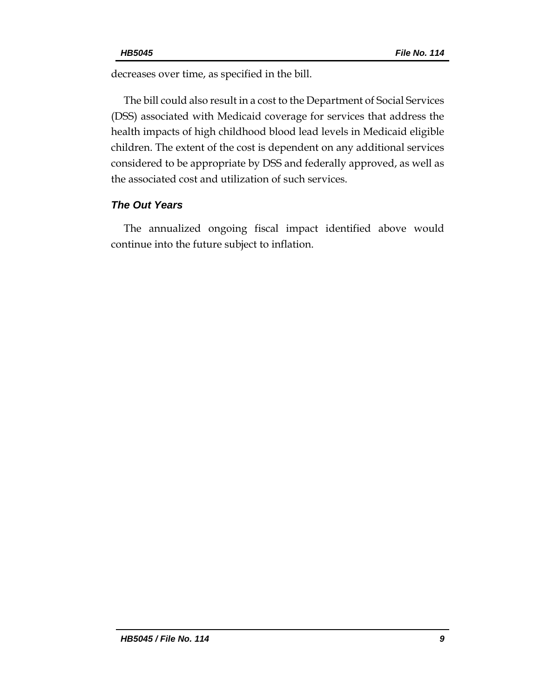decreases over time, as specified in the bill.

The bill could also result in a cost to the Department of Social Services (DSS) associated with Medicaid coverage for services that address the health impacts of high childhood blood lead levels in Medicaid eligible children. The extent of the cost is dependent on any additional services considered to be appropriate by DSS and federally approved, as well as the associated cost and utilization of such services.

# *The Out Years*

The annualized ongoing fiscal impact identified above would continue into the future subject to inflation.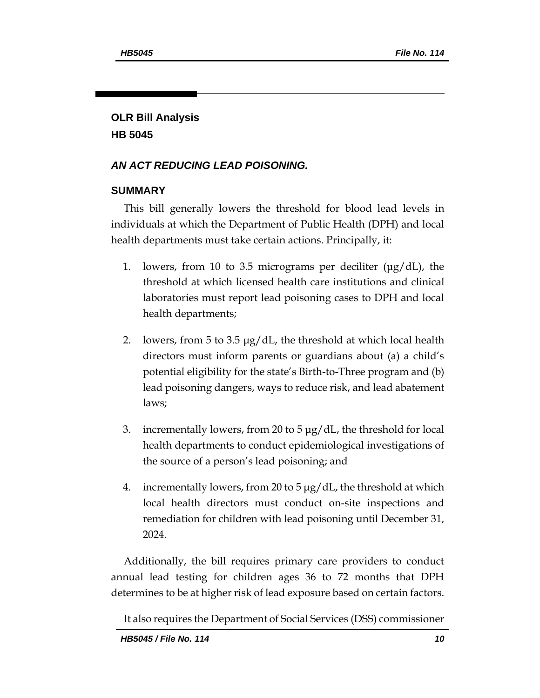# **OLR Bill Analysis HB 5045**

## *AN ACT REDUCING LEAD POISONING.*

### **SUMMARY**

This bill generally lowers the threshold for blood lead levels in individuals at which the Department of Public Health (DPH) and local health departments must take certain actions. Principally, it:

- 1. lowers, from 10 to 3.5 micrograms per deciliter  $(\mu g/dL)$ , the threshold at which licensed health care institutions and clinical laboratories must report lead poisoning cases to DPH and local health departments;
- 2. lowers, from 5 to 3.5 μg/dL, the threshold at which local health directors must inform parents or guardians about (a) a child's potential eligibility for the state's Birth-to-Three program and (b) lead poisoning dangers, ways to reduce risk, and lead abatement laws;
- 3. incrementally lowers, from 20 to 5 μg/dL, the threshold for local health departments to conduct epidemiological investigations of the source of a person's lead poisoning; and
- 4. incrementally lowers, from 20 to 5 μg/dL, the threshold at which local health directors must conduct on-site inspections and remediation for children with lead poisoning until December 31, 2024.

Additionally, the bill requires primary care providers to conduct annual lead testing for children ages 36 to 72 months that DPH determines to be at higher risk of lead exposure based on certain factors.

It also requires the Department of Social Services (DSS) commissioner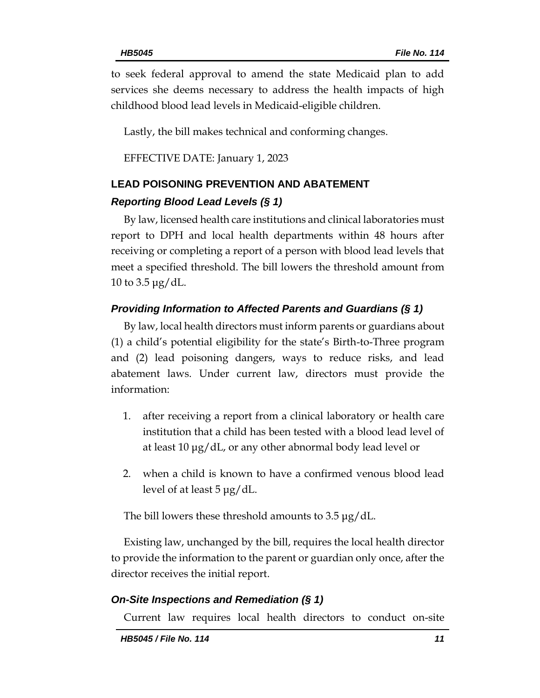to seek federal approval to amend the state Medicaid plan to add services she deems necessary to address the health impacts of high childhood blood lead levels in Medicaid-eligible children.

Lastly, the bill makes technical and conforming changes.

EFFECTIVE DATE: January 1, 2023

# **LEAD POISONING PREVENTION AND ABATEMENT**

# *Reporting Blood Lead Levels (§ 1)*

By law, licensed health care institutions and clinical laboratories must report to DPH and local health departments within 48 hours after receiving or completing a report of a person with blood lead levels that meet a specified threshold. The bill lowers the threshold amount from 10 to 3.5 μg/dL.

# *Providing Information to Affected Parents and Guardians (§ 1)*

By law, local health directors must inform parents or guardians about (1) a child's potential eligibility for the state's Birth-to-Three program and (2) lead poisoning dangers, ways to reduce risks, and lead abatement laws. Under current law, directors must provide the information:

- 1. after receiving a report from a clinical laboratory or health care institution that a child has been tested with a blood lead level of at least 10 μg/dL, or any other abnormal body lead level or
- 2. when a child is known to have a confirmed venous blood lead level of at least 5 μg/dL.

The bill lowers these threshold amounts to 3.5 μg/dL.

Existing law, unchanged by the bill, requires the local health director to provide the information to the parent or guardian only once, after the director receives the initial report.

# *On-Site Inspections and Remediation (§ 1)*

Current law requires local health directors to conduct on-site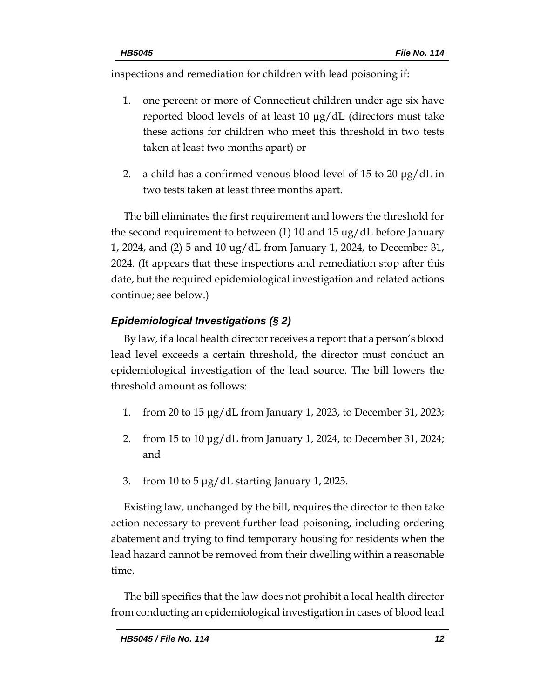inspections and remediation for children with lead poisoning if:

- 1. one percent or more of Connecticut children under age six have reported blood levels of at least 10 μg/dL (directors must take these actions for children who meet this threshold in two tests taken at least two months apart) or
- 2. a child has a confirmed venous blood level of 15 to 20 μg/dL in two tests taken at least three months apart.

The bill eliminates the first requirement and lowers the threshold for the second requirement to between (1) 10 and 15 ug/dL before January 1, 2024, and (2) 5 and 10 ug/dL from January 1, 2024, to December 31, 2024. (It appears that these inspections and remediation stop after this date, but the required epidemiological investigation and related actions continue; see below.)

# *Epidemiological Investigations (§ 2)*

By law, if a local health director receives a report that a person's blood lead level exceeds a certain threshold, the director must conduct an epidemiological investigation of the lead source. The bill lowers the threshold amount as follows:

- 1. from 20 to 15 μg/dL from January 1, 2023, to December 31, 2023;
- 2. from 15 to 10 μg/dL from January 1, 2024, to December 31, 2024; and
- 3. from 10 to 5 μg/dL starting January 1, 2025.

Existing law, unchanged by the bill, requires the director to then take action necessary to prevent further lead poisoning, including ordering abatement and trying to find temporary housing for residents when the lead hazard cannot be removed from their dwelling within a reasonable time.

The bill specifies that the law does not prohibit a local health director from conducting an epidemiological investigation in cases of blood lead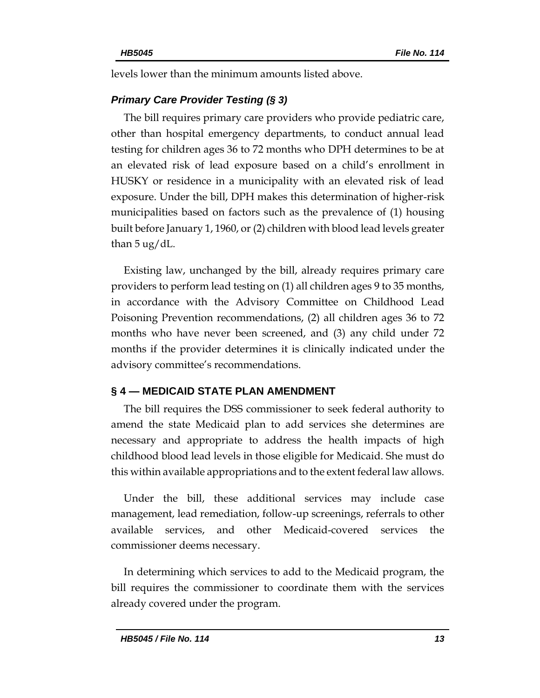levels lower than the minimum amounts listed above.

# *Primary Care Provider Testing (§ 3)*

The bill requires primary care providers who provide pediatric care, other than hospital emergency departments, to conduct annual lead testing for children ages 36 to 72 months who DPH determines to be at an elevated risk of lead exposure based on a child's enrollment in HUSKY or residence in a municipality with an elevated risk of lead exposure. Under the bill, DPH makes this determination of higher-risk municipalities based on factors such as the prevalence of (1) housing built before January 1, 1960, or (2) children with blood lead levels greater than 5 ug/dL.

Existing law, unchanged by the bill, already requires primary care providers to perform lead testing on (1) all children ages 9 to 35 months, in accordance with the Advisory Committee on Childhood Lead Poisoning Prevention recommendations, (2) all children ages 36 to 72 months who have never been screened, and (3) any child under 72 months if the provider determines it is clinically indicated under the advisory committee's recommendations.

# **§ 4 — MEDICAID STATE PLAN AMENDMENT**

The bill requires the DSS commissioner to seek federal authority to amend the state Medicaid plan to add services she determines are necessary and appropriate to address the health impacts of high childhood blood lead levels in those eligible for Medicaid. She must do this within available appropriations and to the extent federal law allows.

Under the bill, these additional services may include case management, lead remediation, follow-up screenings, referrals to other available services, and other Medicaid-covered services the commissioner deems necessary.

In determining which services to add to the Medicaid program, the bill requires the commissioner to coordinate them with the services already covered under the program.